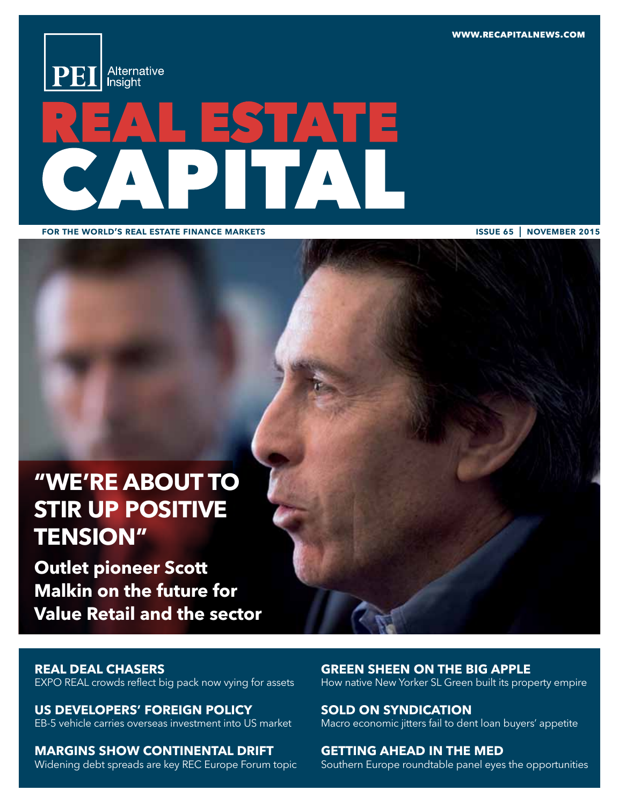**www.recapitalnews.com**



# $\sqrt{4}$

for the world's real estate finance markets

issue 65 | november 2015

# **"we're about to stir up positive tension"**

**Outlet pioneer Scott Malkin on the future for Value Retail and the sector** 

# **real deal chasers**

EXPO REAL crowds reflect big pack now vying for assets

**Us developers' foreign policy**  EB-5 vehicle carries overseas investment into US market

**margins show continental drift**  Widening debt spreads are key REC Europe Forum topic

**green sheen on the big apple**  How native New Yorker SL Green built its property empire

**sold on syndication**  Macro economic jitters fail to dent loan buyers' appetite

**getting ahead in the med**  Southern Europe roundtable panel eyes the opportunities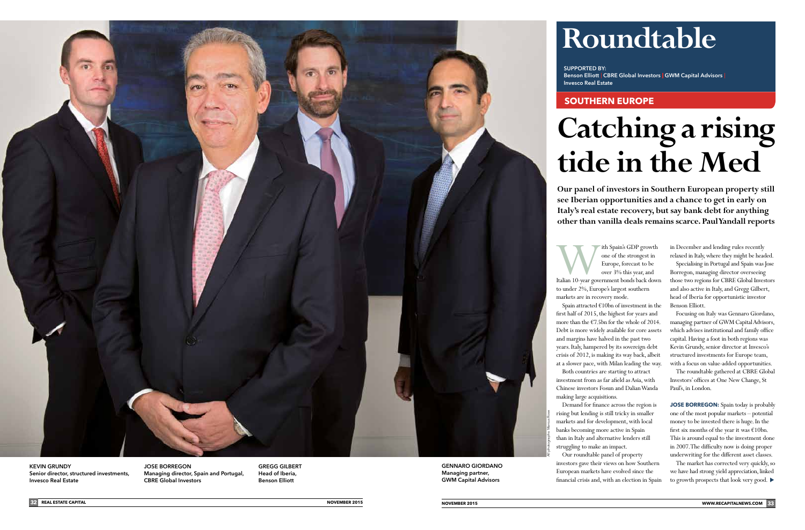# **southern europe**

# **Catching a rising tide in the Med**

**Our panel of investors in Southern European property still see Iberian opportunities and a chance to get in early on Italy's real estate recovery, but say bank debt for anything other than vanilla deals remains scarce. Paul Yandall reports** 

**GENNARO GIORDANO** Managing partner, GWM Capital Advisors

# **Roundtable**

Ith Spain's GDP growth<br>
one of the strongest in<br>
Europe, forecast to be<br>
over 3% this year, and<br>
Italian 10-year government bonds back down one of the strongest in Europe, forecast to be over 3% this year, and

SUPPORTED BY: Invesco Real Estate

to under 2%, Europe's largest southern markets are in recovery mode.

Spain attracted €10bn of investment in the first half of 2015, the highest for years and more than the €7.5bn for the whole of 2014. Debt is more widely available for core assets and margins have halved in the past two years. Italy, hampered by its sovereign debt crisis of 2012, is making its way back, albeit at a slower pace, with Milan leading the way.

Both countries are starting to attract investment from as far afield as Asia, with Chinese investors Fosun and Dalian Wanda making large acquisitions.

**JOSE BORREGON:** Spain today is probably one of the most popular markets – potential money to be invested there is huge. In the first six months of the year it was  $€10$ bn. This is around equal to the investment done in 2007. The difficulty now is doing proper underwriting for the different asset classes.

Demand for finance across the region is rising but lending is still tricky in smaller markets and for development, with local banks becoming more active in Spain than in Italy and alternative lenders still struggling to make an impact.

JOSE BORREGON Global Investors Managing director, Spain and Portugal, CBRE Global Investors

Our roundtable panel of property investors gave their views on how Southern European markets have evolved since the financial crisis and, with an election in Spain

Benson Elliott | CBRE Global Investors | GWM Capital Advisors |



KEVIN GRUNDY Senior director, structured investments,

in December and lending rules recently relaxed in Italy, where they might be headed.

Specialising in Portugal and Spain was Jose Borregon, managing director overseeing those two regions for CBRE Global Investors and also active in Italy, and Gregg Gilbert, head of Iberia for opportunistic investor Benson Elliott.

Focusing on Italy was Gennaro Giordano, managing partner of GWM Capital Advisors, which advises institutional and family office capital. Having a foot in both regions was Kevin Grundy, senior director at Invesco's structured investments for Europe team, with a focus on value-added opportunities.

The roundtable gathered at CBRE Global Investors' offices at One New Change, St Paul's, in London.

The market has corrected very quickly, so we have had strong yield appreciation, linked to growth prospects that look very good.

GREGG GILBERT Head of Iberia, Benson Elliott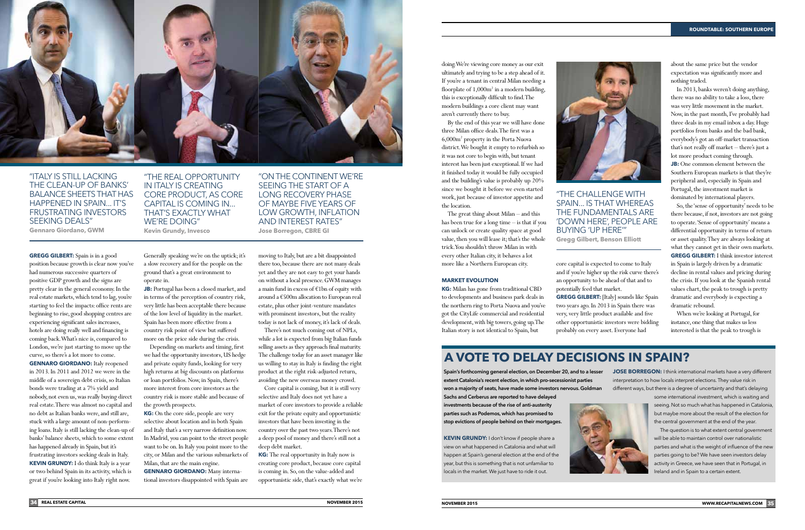# **A VOTE TO DELAY DECISIONS IN SPAIN?**

Spain's forthcoming general election, on December 20, and to a lesser extent Catalonia's recent election, in which pro-secessionist parties won a majority of seats, have made some investors nervous. Goldman Sachs and Cerberus are reported to have delayed

investments because of the rise of anti-austerity parties such as Podemos, which has promised to stop evictions of people behind on their mortgages. **JOSE BORREGON:** I think international markets have a very different interpretation to how locals interpret elections. They value risk in different ways, but there is a degree of uncertainty and that's delaying

**Kevin Grundy:** I don't know if people share a view on what happened in Catalonia and what will happen at Spain's general election at the end of the year, but this is something that is not unfamiliar to locals in the market. We just have to ride it out.



some international investment, which is waiting and seeing. Not so much what has happened in Catalonia, but maybe more about the result of the election for the central government at the end of the year.

The question is to what extent central government will be able to maintain control over nationalistic parties and what is the weight of influence of the new parties going to be? We have seen investors delay activity in Greece, we have seen that in Portugal, in Ireland and in Spain to a certain extent.



# "Italy is still lacking the clean-up of banks' balance sheets that has happened in Spain... it's frustrating investors SEEKING DEALS" **Gennaro Giordano, GWM**

"The real opportunity in Italy is creating core product, as core capital is coming in... that's exactly what WE'RE DOING" **Kevin Grundy, Invesco** 

**JB:** Portugal has been a closed market, and in terms of the perception of country risk, very little has been acceptable there because of the low level of liquidity in the market. Spain has been more effective from a country risk point of view but suffered more on the price side during the crisis.

seeing the start of a long recovery phase of maybe five years of low growth, inflation and interest rates" **Jose Borregon, CBRE GI**

"ON THE CONTINENT WE'RE

"the challenge with spain... is that whereas the fundamentals are 'down here', people are buying 'up here'" **Gregg Gilbert, Benson Elliott**

**Gregg Gilbert:** Spain is in a good position because growth is clear now you've had numerous successive quarters of positive GDP growth and the signs are pretty clear in the general economy. In the real estate markets, which tend to lag, you're starting to feel the impacts: office rents are beginning to rise, good shopping centres are experiencing significant sales increases, hotels are doing really well and financing is coming back. What's nice is, compared to London, we're just starting to move up the curve, so there's a lot more to come. **GENNARO GIORDANO:** Italy reopened in 2013. In 2011 and 2012 we were in the

middle of a sovereign debt crisis, so Italian bonds were trading at a 7% yield and nobody, not even us, was really buying direct real estate. There was almost no capital and no debt as Italian banks were, and still are, stuck with a large amount of non-performing loans. Italy is still lacking the clean-up of banks' balance sheets, which to some extent has happened already in Spain, but it's

frustrating investors seeking deals in Italy. **Kevin Grundy:** I do think Italy is a year or two behind Spain in its activity, which is great if you're looking into Italy right now.

Generally speaking we're on the uptick; it's a slow recovery and for the people on the ground that's a great environment to operate in.

Depending on markets and timing, first we had the opportunity investors, US hedge and private equity funds, looking for very high returns at big discounts on platforms or loan portfolios. Now, in Spain, there's more interest from core investors as the country risk is more stable and because of the growth prospects.

**KG:** On the core side, people are very selective about location and in both Spain and Italy that's a very narrow definition now. In Madrid, you can point to the street people want to be on. In Italy you point more to the city, or Milan and the various submarkets of Milan, that are the main engine.

**Gennaro Giordano:** Many interna-

tional investors disappointed with Spain are

moving to Italy, but are a bit disappointed there too, because there are not many deals yet and they are not easy to get your hands on without a local presence. GWM manages a main fund in excess of €1bn of equity with around a €500m allocation to European real estate, plus other joint-venture mandates with prominent investors, but the reality today is not lack of money, it's lack of deals.

There's not much coming out of NPLs, while a lot is expected from big Italian funds selling assets as they approach final maturity. The challenge today for an asset manager like us willing to stay in Italy is finding the right product at the right risk-adjusted return, avoiding the new overseas money crowd.

Core capital is coming, but it is still very selective and Italy does not yet have a market of core investors to provide a reliable exit for the private equity and opportunistic investors that have been investing in the country over the past two years. There's not a deep pool of money and there's still not a deep debt market.

**KG:** The real opportunity in Italy now is creating core product, because core capital is coming in. So, on the value-added and opportunistic side, that's exactly what we're doing. We're viewing core money as our exit ultimately and trying to be a step ahead of it. If you're a tenant in central Milan needing a floorplate of 1,000m<sup>2</sup> in a modern building, this is exceptionally difficult to find. The modern buildings a core client may want aren't currently there to buy.

By the end of this year we will have done three Milan office deals. The first was a 6,000m2 property in the Porta Nuova district. We bought it empty to refurbish so it was not core to begin with, but tenant interest has been just exceptional. If we had it finished today it would be fully occupied and the building's value is probably up 20% since we bought it before we even started work, just because of investor appetite and the location.

The great thing about Milan – and this has been true for a long time – is that if you can unlock or create quality space at good value, then you will lease it; that's the whole trick. You shouldn't throw Milan in with every other Italian city, it behaves a lot more like a Northern European city.

### **Market evolution**

**KG:** Milan has gone from traditional CBD to developments and business park deals in the northern ring to Porta Nuova and you've got the CityLife commercial and residential development, with big towers, going up. The Italian story is not identical to Spain, but

core capital is expected to come to Italy and if you're higher up the risk curve there's an opportunity to be ahead of that and to potentially feed that market. **Gregg Gilbert:** [Italy] sounds like Spain two years ago. In 2013 in Spain there was very, very little product available and five other opportunistic investors were bidding probably on every asset. Everyone had

about the same price but the vendor expectation was significantly more and nothing traded.

In 2013, banks weren't doing anything, there was no ability to take a loss, there was very little movement in the market. Now, in the past month, I've probably had three deals in my email inbox a day. Huge portfolios from banks and the bad bank, everybody's got an off-market transaction that's not really off market – there's just a lot more product coming through. **JB:** One common element between the Southern European markets is that they're peripheral and, especially in Spain and Portugal, the investment market is dominated by international players.

So, the 'sense of opportunity' needs to be there because, if not, investors are not going to operate. 'Sense of opportunity' means a differential opportunity in terms of return or asset quality. They are always looking at what they cannot get in their own markets. **Gregg Gilbert:** I think investor interest in Spain is largely driven by a dramatic decline in rental values and pricing during the crisis. If you look at the Spanish rental values chart, the peak to trough is pretty dramatic and everybody is expecting a dramatic rebound.

When we're looking at Portugal, for instance, one thing that makes us less interested is that the peak to trough is

## **Roundtable: southern europe**